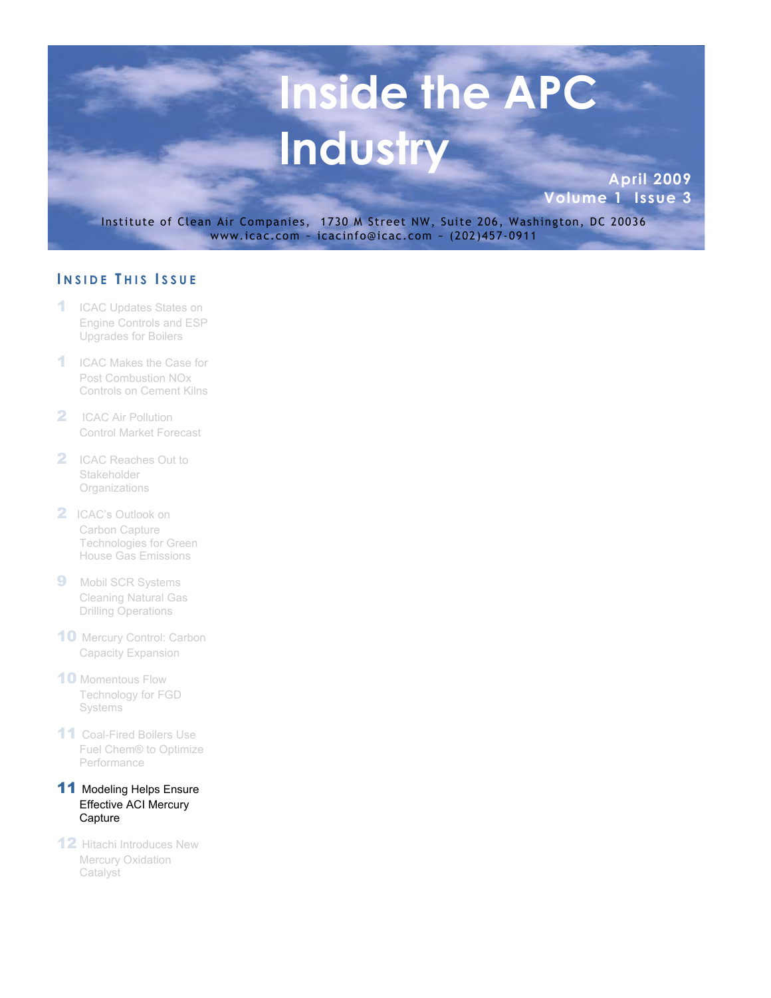

## **I N S I D E T H I S I S S U E**

- 1 ICAC Updates States on Engine Controls and ESP Upgrades for Boilers
- **1** ICAC Makes the Case for Post Combustion NOx Controls on Cement Kilns
- 2 ICAC Air Pollution Control Market Forecast
- 2 ICAC Reaches Out to **Stakeholder Organizations**
- 2 ICAC's Outlook on Carbon Capture Technologies for Green House Gas Emissions
- **9** Mobil SCR Systems Cleaning Natural Gas Drilling Operations
- 10 Mercury Control: Carbon Capacity Expansion
- 10 Momentous Flow Technology for FGD Systems
- 11 Coal-Fired Boilers Use Fuel Chem® to Optimize **Performance**

## 11 Modeling Helps Ensure Effective ACI Mercury **Capture**

12 Hitachi Introduces New Mercury Oxidation **Catalyst**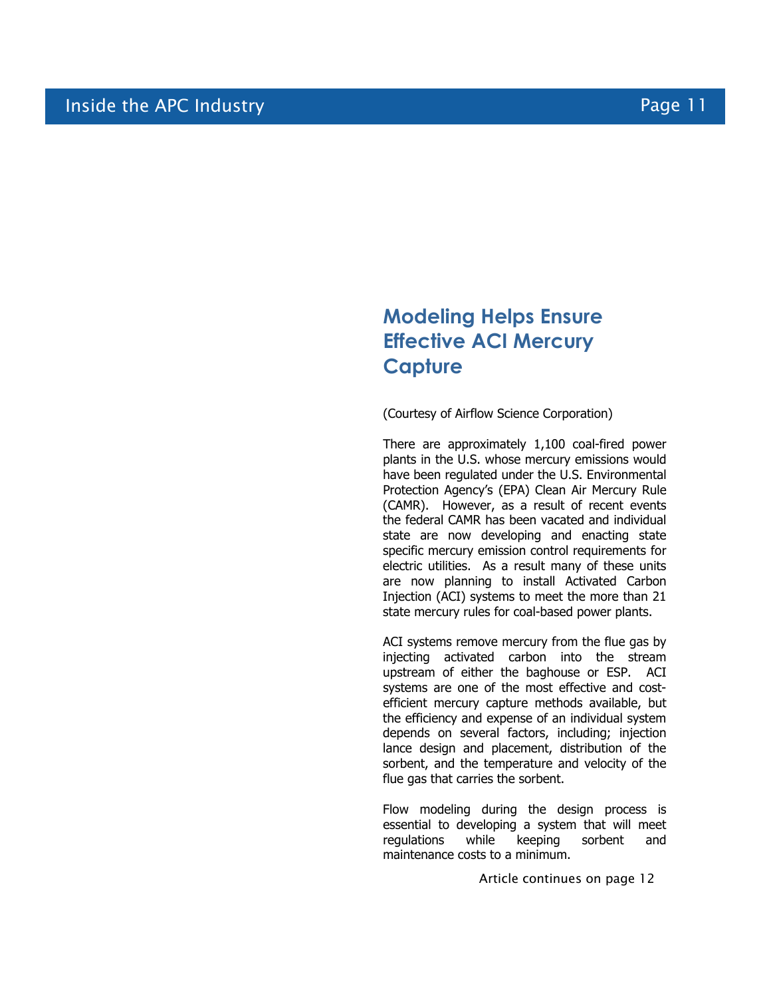## **Modeling Helps Ensure Effective ACI Mercury Capture**

(Courtesy of Airflow Science Corporation)

There are approximately 1,100 coal-fired power plants in the U.S. whose mercury emissions would have been regulated under the U.S. Environmental Protection Agency's (EPA) Clean Air Mercury Rule (CAMR). However, as a result of recent events the federal CAMR has been vacated and individual state are now developing and enacting state specific mercury emission control requirements for electric utilities. As a result many of these units are now planning to install Activated Carbon Injection (ACI) systems to meet the more than 21 state mercury rules for coal-based power plants.

ACI systems remove mercury from the flue gas by injecting activated carbon into the stream upstream of either the baghouse or ESP. ACI systems are one of the most effective and costefficient mercury capture methods available, but the efficiency and expense of an individual system depends on several factors, including; injection lance design and placement, distribution of the sorbent, and the temperature and velocity of the flue gas that carries the sorbent.

Flow modeling during the design process is essential to developing a system that will meet regulations while keeping sorbent and maintenance costs to a minimum.

Article continues on page 12